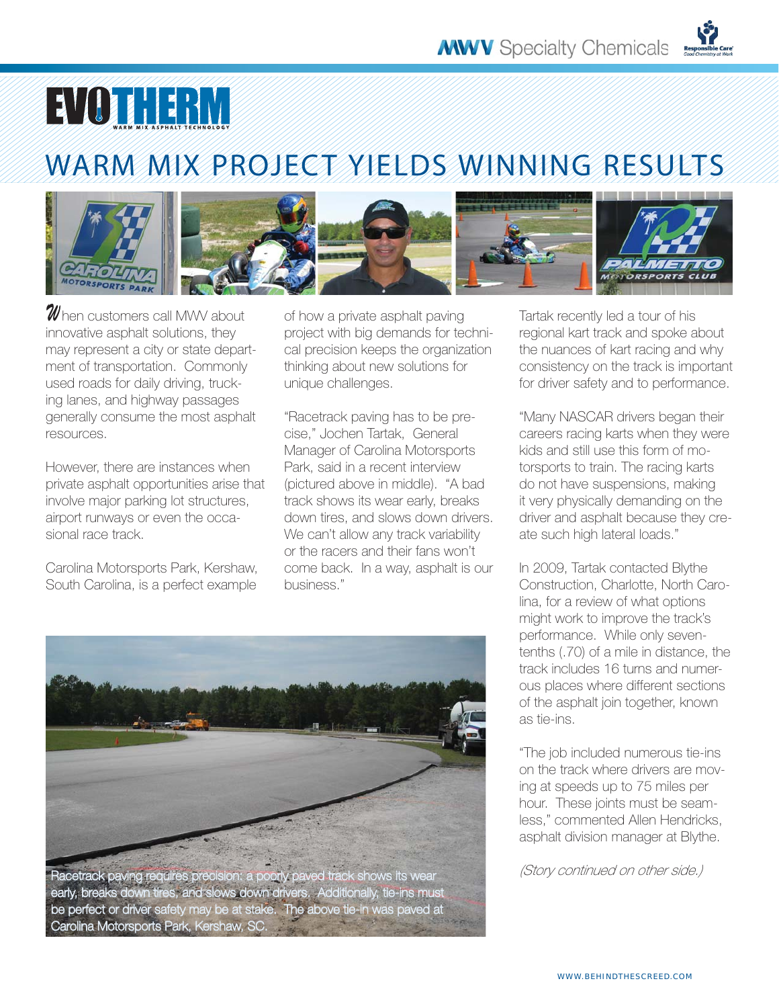

## WARM MIX PROJECT YIELDS WINNING RESULTS



 ${\mathscr W}$ hen customers call MWV about. innovative asphalt solutions, they may represent a city or state department of transportation. Commonly used roads for daily driving, trucking lanes, and highway passages generally consume the most asphalt resources.

However, there are instances when private asphalt opportunities arise that involve major parking lot structures, airport runways or even the occasional race track.

Carolina Motorsports Park, Kershaw, South Carolina, is a perfect example

of how a private asphalt paving project with big demands for technical precision keeps the organization thinking about new solutions for unique challenges.

"Racetrack paving has to be precise," Jochen Tartak, General Manager of Carolina Motorsports Park, said in a recent interview (pictured above in middle). "A bad track shows its wear early, breaks down tires, and slows down drivers. We can't allow any track variability or the racers and their fans won't come back. In a way, asphalt is our business."



Racetrack paving requires precision: a poorly paved track shows its wear early, breaks down tires, and slows down drivers. Additionally, tie-ins must be perfect or driver safety may be at stake. The above tie-in was paved at Carolina Motorsports Park, Kershaw, SC.

Tartak recently led a tour of his regional kart track and spoke about the nuances of kart racing and why consistency on the track is important for driver safety and to performance.

"Many NASCAR drivers began their careers racing karts when they were kids and still use this form of motorsports to train. The racing karts do not have suspensions, making it very physically demanding on the driver and asphalt because they create such high lateral loads."

In 2009, Tartak contacted Blythe Construction, Charlotte, North Carolina, for a review of what options might work to improve the track's performance. While only seventenths (.70) of a mile in distance, the track includes 16 turns and numerous places where different sections of the asphalt join together, known as tie-ins.

"The job included numerous tie-ins on the track where drivers are moving at speeds up to 75 miles per hour. These joints must be seamless," commented Allen Hendricks, asphalt division manager at Blythe.

(Story continued on other side.)